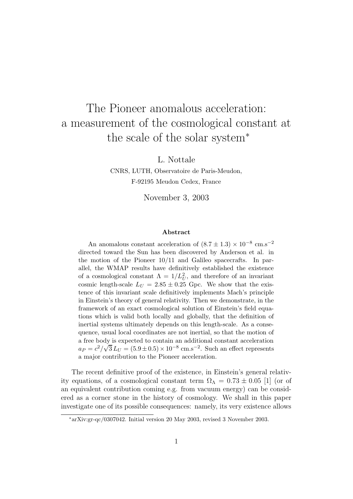## The Pioneer anomalous acceleration: a measurement of the cosmological constant at the scale of the solar system<sup>∗</sup>

L. Nottale

CNRS, LUTH, Observatoire de Paris-Meudon, F-92195 Meudon Cedex, France

November 3, 2003

## Abstract

An anomalous constant acceleration of  $(8.7 \pm 1.3) \times 10^{-8}$  cm.s<sup>-2</sup> directed toward the Sun has been discovered by Anderson et al. in the motion of the Pioneer 10/11 and Galileo spacecrafts. In parallel, the WMAP results have definitively established the existence of a cosmological constant  $\Lambda = 1/L_U^2$ , and therefore of an invariant cosmic length-scale  $L_U = 2.85 \pm 0.25$  Gpc. We show that the existence of this invariant scale definitively implements Mach's principle in Einstein's theory of general relativity. Then we demonstrate, in the framework of an exact cosmological solution of Einstein's field equations which is valid both locally and globally, that the definition of inertial systems ultimately depends on this length-scale. As a consequence, usual local coordinates are not inertial, so that the motion of a free body is expected to contain an additional constant acceleration  $a_P = c^2/\sqrt{3} L_U = (5.9 \pm 0.5) \times 10^{-8} \text{ cm.s}^{-2}$ . Such an effect represents a major contribution to the Pioneer acceleration.

The recent definitive proof of the existence, in Einstein's general relativity equations, of a cosmological constant term  $\Omega_{\Lambda} = 0.73 \pm 0.05$  [1] (or of an equivalent contribution coming e.g. from vacuum energy) can be considered as a corner stone in the history of cosmology. We shall in this paper investigate one of its possible consequences: namely, its very existence allows

<sup>∗</sup>arXiv:gr-qc/0307042. Initial version 20 May 2003, revised 3 November 2003.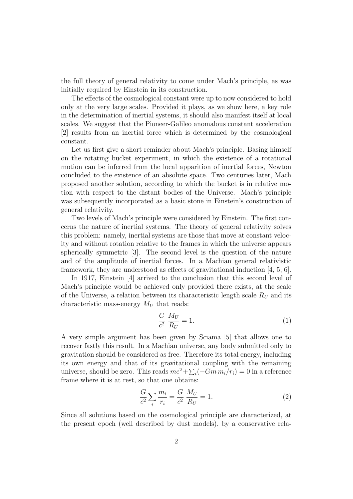the full theory of general relativity to come under Mach's principle, as was initially required by Einstein in its construction.

The effects of the cosmological constant were up to now considered to hold only at the very large scales. Provided it plays, as we show here, a key role in the determination of inertial systems, it should also manifest itself at local scales. We suggest that the Pioneer-Galileo anomalous constant acceleration [2] results from an inertial force which is determined by the cosmological constant.

Let us first give a short reminder about Mach's principle. Basing himself on the rotating bucket experiment, in which the existence of a rotational motion can be inferred from the local apparition of inertial forces, Newton concluded to the existence of an absolute space. Two centuries later, Mach proposed another solution, according to which the bucket is in relative motion with respect to the distant bodies of the Universe. Mach's principle was subsequently incorporated as a basic stone in Einstein's construction of general relativity.

Two levels of Mach's principle were considered by Einstein. The first concerns the nature of inertial systems. The theory of general relativity solves this problem: namely, inertial systems are those that move at constant velocity and without rotation relative to the frames in which the universe appears spherically symmetric [3]. The second level is the question of the nature and of the amplitude of inertial forces. In a Machian general relativistic framework, they are understood as effects of gravitational induction [4, 5, 6].

In 1917, Einstein [4] arrived to the conclusion that this second level of Mach's principle would be achieved only provided there exists, at the scale of the Universe, a relation between its characteristic length scale  $R_U$  and its characteristic mass-energy  $M_U$  that reads:

$$
\frac{G}{c^2} \frac{M_U}{R_U} = 1. \tag{1}
$$

A very simple argument has been given by Sciama [5] that allows one to recover fastly this result. In a Machian universe, any body submitted only to gravitation should be considered as free. Therefore its total energy, including its own energy and that of its gravitational coupling with the remaining universe, should be zero. This reads  $mc^2 + \sum_i (-Gm m_i/r_i) = 0$  in a reference frame where it is at rest, so that one obtains:

$$
\frac{G}{c^2} \sum_{i} \frac{m_i}{r_i} = \frac{G}{c^2} \frac{M_U}{R_U} = 1.
$$
\n(2)

Since all solutions based on the cosmological principle are characterized, at the present epoch (well described by dust models), by a conservative rela-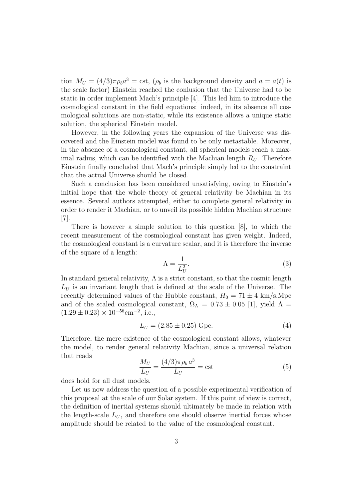tion  $M_U = (4/3)\pi \rho_b a^3 = \text{cst}, \ (\rho_b \text{ is the background density and } a = a(t) \text{ is }$ the scale factor) Einstein reached the conlusion that the Universe had to be static in order implement Mach's principle [4]. This led him to introduce the cosmological constant in the field equations: indeed, in its absence all cosmological solutions are non-static, while its existence allows a unique static solution, the spherical Einstein model.

However, in the following years the expansion of the Universe was discovered and the Einstein model was found to be only metastable. Moreover, in the absence of a cosmological constant, all spherical models reach a maximal radius, which can be identified with the Machian length  $R_U$ . Therefore Einstein finally concluded that Mach's principle simply led to the constraint that the actual Universe should be closed.

Such a conclusion has been considered unsatisfying, owing to Einstein's initial hope that the whole theory of general relativity be Machian in its essence. Several authors attempted, either to complete general relativity in order to render it Machian, or to unveil its possible hidden Machian structure [7].

There is however a simple solution to this question [8], to which the recent measurement of the cosmological constant has given weight. Indeed, the cosmological constant is a curvature scalar, and it is therefore the inverse of the square of a length:

$$
\Lambda = \frac{1}{L_U^2}.\tag{3}
$$

In standard general relativity,  $\Lambda$  is a strict constant, so that the cosmic length  $L_U$  is an invariant length that is defined at the scale of the Universe. The recently determined values of the Hubble constant,  $H_0 = 71 \pm 4 \text{ km/s.Mpc}$ and of the scaled cosmological constant,  $\Omega_{\Lambda} = 0.73 \pm 0.05$  [1], yield  $\Lambda =$  $(1.29 \pm 0.23) \times 10^{-56}$  cm<sup>-2</sup>, i.e.,

$$
L_U = (2.85 \pm 0.25) \text{ Gpc.} \tag{4}
$$

Therefore, the mere existence of the cosmological constant allows, whatever the model, to render general relativity Machian, since a universal relation that reads

$$
\frac{M_U}{L_U} = \frac{(4/3)\pi \rho_b a^3}{L_U} = \text{cst}
$$
\n(5)

does hold for all dust models.

Let us now address the question of a possible experimental verification of this proposal at the scale of our Solar system. If this point of view is correct, the definition of inertial systems should ultimately be made in relation with the length-scale  $L_U$ , and therefore one should observe inertial forces whose amplitude should be related to the value of the cosmological constant.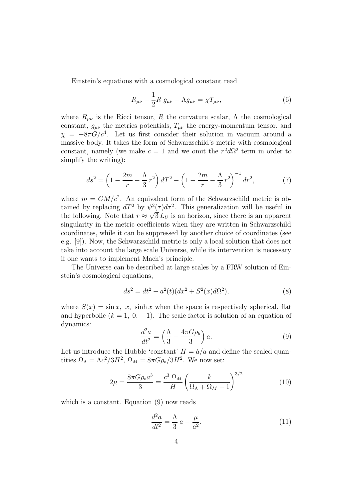Einstein's equations with a cosmological constant read

$$
R_{\mu\nu} - \frac{1}{2}R \, g_{\mu\nu} - \Lambda g_{\mu\nu} = \chi T_{\mu\nu},\tag{6}
$$

where  $R_{\mu\nu}$  is the Ricci tensor, R the curvature scalar,  $\Lambda$  the cosmological constant,  $g_{\mu\nu}$  the metrics potentials,  $T_{\mu\nu}$  the energy-momentum tensor, and  $\chi = -8\pi G/c^4$ . Let us first consider their solution in vacuum around a massive body. It takes the form of Schwarzschild's metric with cosmological constant, namely (we make  $c = 1$  and we omit the  $r^2 d\Omega^2$  term in order to simplify the writing):

$$
ds^{2} = \left(1 - \frac{2m}{r} - \frac{\Lambda}{3}r^{2}\right)dT^{2} - \left(1 - \frac{2m}{r} - \frac{\Lambda}{3}r^{2}\right)^{-1}dr^{2},\tag{7}
$$

where  $m = GM/c^2$ . An equivalent form of the Schwarzschild metric is obtained by replacing  $dT^2$  by  $\psi^2(\tau)d\tau^2$ . This generalization will be useful in the following. Note that  $r \approx \sqrt{3} L_U$  is an horizon, since there is an apparent singularity in the metric coefficients when they are written in Schwarzschild coordinates, while it can be suppressed by another choice of coordinates (see e.g. [9]). Now, the Schwarzschild metric is only a local solution that does not take into account the large scale Universe, while its intervention is necessary if one wants to implement Mach's principle.

The Universe can be described at large scales by a FRW solution of Einstein's cosmological equations,

$$
ds^{2} = dt^{2} - a^{2}(t)(dx^{2} + S^{2}(x)d\Omega^{2}),
$$
\n(8)

where  $S(x) = \sin x$ , x, sinh x when the space is respectively spherical, flat and hyperbolic  $(k = 1, 0, -1)$ . The scale factor is solution of an equation of dynamics:

$$
\frac{d^2a}{dt^2} = \left(\frac{\Lambda}{3} - \frac{4\pi G\rho_b}{3}\right)a.
$$
\n(9)

Let us introduce the Hubble 'constant'  $H = \dot{a}/a$  and define the scaled quantities  $\Omega_{\Lambda} = \Lambda c^2 / 3H^2$ ,  $\Omega_M = 8\pi G \rho_b / 3H^2$ . We now set:

$$
2\mu = \frac{8\pi G\rho_b a^3}{3} = \frac{c^3 \Omega_M}{H} \left(\frac{k}{\Omega_\Lambda + \Omega_M - 1}\right)^{3/2} \tag{10}
$$

which is a constant. Equation  $(9)$  now reads

$$
\frac{d^2a}{dt^2} = \frac{\Lambda}{3} a - \frac{\mu}{a^2}.\tag{11}
$$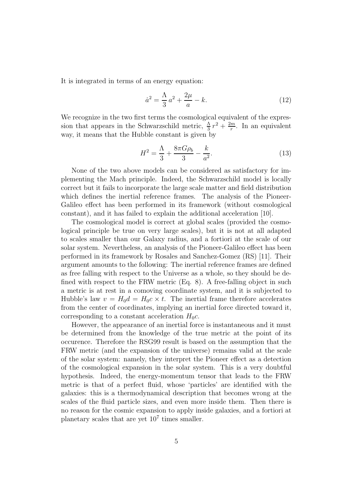It is integrated in terms of an energy equation:

$$
\dot{a}^2 = \frac{\Lambda}{3}a^2 + \frac{2\mu}{a} - k.\tag{12}
$$

We recognize in the two first terms the cosmological equivalent of the expression that appears in the Schwarzschild metric,  $\frac{\Lambda}{3}r^2 + \frac{2m}{r}$  $\frac{m}{r}$ . In an equivalent way, it means that the Hubble constant is given by

$$
H^{2} = \frac{\Lambda}{3} + \frac{8\pi G\rho_{b}}{3} - \frac{k}{a^{2}}.
$$
 (13)

None of the two above models can be considered as satisfactory for implementing the Mach principle. Indeed, the Schwarzschild model is locally correct but it fails to incorporate the large scale matter and field distribution which defines the inertial reference frames. The analysis of the Pioneer-Galileo effect has been performed in its framework (without cosmological constant), and it has failed to explain the additional acceleration [10].

The cosmological model is correct at global scales (provided the cosmological principle be true on very large scales), but it is not at all adapted to scales smaller than our Galaxy radius, and a fortiori at the scale of our solar system. Nevertheless, an analysis of the Pioneer-Galileo effect has been performed in its framework by Rosales and Sanchez-Gomez (RS) [11]. Their argument amounts to the following: The inertial reference frames are defined as free falling with respect to the Universe as a whole, so they should be defined with respect to the FRW metric (Eq. 8). A free-falling object in such a metric is at rest in a comoving coordinate system, and it is subjected to Hubble's law  $v = H_0 d = H_0 c \times t$ . The inertial frame therefore accelerates from the center of coordinates, implying an inertial force directed toward it, corresponding to a constant acceleration  $H_0c$ .

However, the appearance of an inertial force is instantaneous and it must be determined from the knowledge of the true metric at the point of its occurence. Therefore the RSG99 result is based on the assumption that the FRW metric (and the expansion of the universe) remains valid at the scale of the solar system: namely, they interpret the Pioneer effect as a detection of the cosmological expansion in the solar system. This is a very doubtful hypothesis. Indeed, the energy-momentum tensor that leads to the FRW metric is that of a perfect fluid, whose 'particles' are identified with the galaxies: this is a thermodynamical description that becomes wrong at the scales of the fluid particle sizes, and even more inside them. Then there is no reason for the cosmic expansion to apply inside galaxies, and a fortiori at planetary scales that are yet  $10<sup>7</sup>$  times smaller.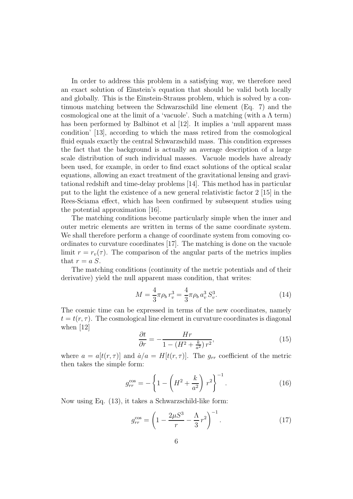In order to address this problem in a satisfying way, we therefore need an exact solution of Einstein's equation that should be valid both locally and globally. This is the Einstein-Strauss problem, which is solved by a continuous matching between the Schwarzschild line element (Eq. 7) and the cosmological one at the limit of a 'vacuole'. Such a matching (with a  $\Lambda$  term) has been performed by Balbinot et al [12]. It implies a 'null apparent mass condition' [13], according to which the mass retired from the cosmological fluid equals exactly the central Schwarzschild mass. This condition expresses the fact that the background is actually an average description of a large scale distribution of such individual masses. Vacuole models have already been used, for example, in order to find exact solutions of the optical scalar equations, allowing an exact treatment of the gravitational lensing and gravitational redshift and time-delay problems [14]. This method has in particular put to the light the existence of a new general relativistic factor 2 [15] in the Rees-Sciama effect, which has been confirmed by subsequent studies using the potential approximation [16].

The matching conditions become particularly simple when the inner and outer metric elements are written in terms of the same coordinate system. We shall therefore perform a change of coordinate system from comoving coordinates to curvature coordinates [17]. The matching is done on the vacuole limit  $r = r_v(\tau)$ . The comparison of the angular parts of the metrics implies that  $r = a S$ .

The matching conditions (continuity of the metric potentials and of their derivative) yield the null apparent mass condition, that writes:

$$
M = \frac{4}{3}\pi\rho_b r_v^3 = \frac{4}{3}\pi\rho_b a_v^3 S_v^3.
$$
 (14)

The cosmic time can be expressed in terms of the new coordinates, namely  $t = t(r, \tau)$ . The cosmological line element in curvature coordinates is diagonal when [12]

$$
\frac{\partial t}{\partial r} = -\frac{Hr}{1 - \left(H^2 + \frac{k}{a^2}\right)r^2},\tag{15}
$$

where  $a = a[t(r, \tau)]$  and  $\dot{a}/a = H[t(r, \tau)]$ . The  $g_{rr}$  coefficient of the metric then takes the simple form:

$$
g_{rr}^{\cos} = -\left\{1 - \left(H^2 + \frac{k}{a^2}\right)r^2\right\}^{-1}.
$$
 (16)

Now using Eq. (13), it takes a Schwarzschild-like form:

$$
g_{rr}^{\cos} = \left(1 - \frac{2\mu S^3}{r} - \frac{\Lambda}{3}r^2\right)^{-1}.
$$
 (17)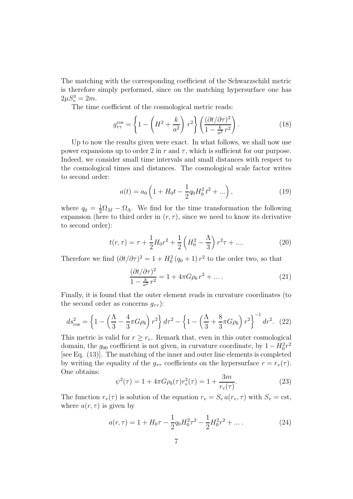The matching with the corresponding coefficient of the Schwarzschild metric is therefore simply performed, since on the matching hypersurface one has  $2\mu S_v^3 = 2m$ .

The time coefficient of the cosmological metric reads:

$$
g_{\tau\tau}^{\cos} = \left\{ 1 - \left( H^2 + \frac{k}{a^2} \right) r^2 \right\} \left( \frac{(\partial t/\partial \tau)^2}{1 - \frac{k}{a^2} r^2} \right). \tag{18}
$$

Up to now the results given were exact. In what follows, we shall now use power expansions up to order 2 in r and  $\tau$ , which is sufficient for our purpose. Indeed, we consider small time intervals and small distances with respect to the cosmological times and distances. The cosmological scale factor writes to second order:

$$
a(t) = a_0 \left( 1 + H_0 t - \frac{1}{2} q_0 H_0^2 t^2 + \ldots \right),
$$
\n(19)

where  $q_0 = \frac{1}{2}\Omega_M - \Omega_{\Lambda}$ . We find for the time transformation the following expansion (here to third order in  $(r, \tau)$ , since we need to know its derivative to second order):

$$
t(r,\tau) = \tau + \frac{1}{2}H_0r^2 + \frac{1}{2}\left(H_0^2 - \frac{\Lambda}{3}\right)r^2\tau + \dots
$$
 (20)

Therefore we find  $(\partial t/\partial \tau)^2 = 1 + H_0^2 (q_0 + 1) r^2$  to the order two, so that

$$
\frac{(\partial t/\partial \tau)^2}{1 - \frac{k}{a^2} r^2} = 1 + 4\pi G \rho_b r^2 + \dots \tag{21}
$$

Finally, it is found that the outer element reads in curvature coordinates (to the second order as concerns  $g_{\tau\tau}$ :

$$
ds_{\cos}^2 = \left\{ 1 - \left( \frac{\Lambda}{3} - \frac{4}{3} \pi G \rho_b \right) r^2 \right\} d\tau^2 - \left\{ 1 - \left( \frac{\Lambda}{3} + \frac{8}{3} \pi G \rho_b \right) r^2 \right\}^{-1} dr^2. \tag{22}
$$

This metric is valid for  $r \geq r_v$ . Remark that, even in this outer cosmological domain, the  $g_{00}$  coefficient is not given, in curvature coordinate, by  $1 - H_0^2 r^2$ [see Eq. (13)]. The matching of the inner and outer line elements is completed by writing the equality of the  $g_{\tau\tau}$  coefficients on the hypersurface  $r = r_v(\tau)$ . One obtains:

$$
\psi^2(\tau) = 1 + 4\pi G \rho_b(\tau) r_v^2(\tau) = 1 + \frac{3m}{r_v(\tau)}.
$$
\n(23)

The function  $r_v(\tau)$  is solution of the equation  $r_v = S_v a(r_v, \tau)$  with  $S_v = \text{cst}$ , where  $a(r, \tau)$  is given by

$$
a(r,\tau) = 1 + H_0 \tau - \frac{1}{2} q_0 H_0^2 \tau^2 - \frac{1}{2} H_0^2 r^2 + \dots \tag{24}
$$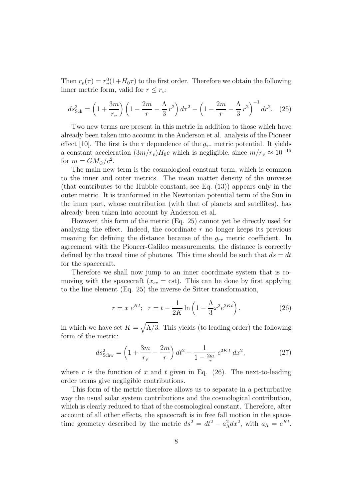Then  $r_v(\tau) = r_v^0$  $v_v^0(1+H_0\tau)$  to the first order. Therefore we obtain the following inner metric form, valid for  $r \leq r_v$ :

$$
ds_{\text{Sch}}^2 = \left(1 + \frac{3m}{r_v}\right) \left(1 - \frac{2m}{r} - \frac{\Lambda}{3}r^2\right) d\tau^2 - \left(1 - \frac{2m}{r} - \frac{\Lambda}{3}r^2\right)^{-1} dr^2. \tag{25}
$$

Two new terms are present in this metric in addition to those which have already been taken into account in the Anderson et al. analysis of the Pioneer effect [10]. The first is the  $\tau$  dependence of the  $g_{\tau\tau}$  metric potential. It yields a constant acceleration  $(3m/r_v)H_0c$  which is negligible, since  $m/r_v \approx 10^{-15}$ for  $m = GM_{\odot}/c^2$ .

The main new term is the cosmological constant term, which is common to the inner and outer metrics. The mean matter density of the universe (that contributes to the Hubble constant, see Eq. (13)) appears only in the outer metric. It is tranformed in the Newtonian potential term of the Sun in the inner part, whose contribution (with that of planets and satellites), has already been taken into account by Anderson et al.

However, this form of the metric (Eq. 25) cannot yet be directly used for analysing the effect. Indeed, the coordinate  $r$  no longer keeps its previous meaning for defining the distance because of the  $g_{rr}$  metric coefficient. In agreement with the Pioneer-Galileo measurements, the distance is correctly defined by the travel time of photons. This time should be such that  $ds = dt$ for the spacecraft.

Therefore we shall now jump to an inner coordinate system that is comoving with the spacecraft ( $x_{sc} = \text{cst}$ ). This can be done by first applying to the line element (Eq. 25) the inverse de Sitter transformation,

$$
r = x e^{Kt}; \ \tau = t - \frac{1}{2K} \ln \left( 1 - \frac{\Lambda}{3} x^2 e^{2Kt} \right),
$$
 (26)

in which we have set  $K = \sqrt{\Lambda/3}$ . This yields (to leading order) the following form of the metric:

$$
ds_{\text{Schw}}^2 = \left(1 + \frac{3m}{r_v} - \frac{2m}{r}\right)dt^2 - \frac{1}{1 - \frac{2m}{r}}e^{2Kt} dx^2,\tag{27}
$$

where r is the function of x and t given in Eq. (26). The next-to-leading order terms give negligible contributions.

This form of the metric therefore allows us to separate in a perturbative way the usual solar system contributions and the cosmological contribution, which is clearly reduced to that of the cosmological constant. Therefore, after account of all other effects, the spacecraft is in free fall motion in the spacetime geometry described by the metric  $ds^2 = dt^2 - a_\Lambda^2 dx^2$ , with  $a_\Lambda = e^{Kt}$ .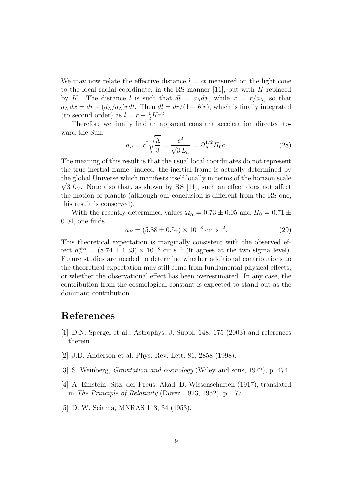We may now relate the effective distance  $l = ct$  measured on the light cone to the local radial coordinate, in the RS manner [11], but with  $H$  replaced by K. The distance l is such that  $dl = a_\Lambda dx$ , while  $x = r/a_\Lambda$ , so that  $a_\Lambda dx = dr - (\dot{a_\Lambda}/a_\Lambda) r dt$ . Then  $dl = dr/(1+Kr)$ , which is finally integrated (to second order) as  $l = r - \frac{1}{2}Kr^2$ .

Therefore we finally find an apparent constant acceleration directed toward the Sun:

$$
a_P = c^2 \sqrt{\frac{\Lambda}{3}} = \frac{c^2}{\sqrt{3} L_U} = \Omega_{\Lambda}^{1/2} H_0 c. \tag{28}
$$

The meaning of this result is that the usual local coordinates do not represent the true inertial frame: indeed, the inertial frame is actually determined by the global Universe which manifests itself locally in terms of the horizon scale  $\sqrt{3} L_U$ . Note also that, as shown by RS [11], such an effect does not affect the motion of planets (although our conclusion is different from the RS one, this result is conserved).

With the recently determined values  $\Omega_{\Lambda} = 0.73 \pm 0.05$  and  $H_0 = 0.71 \pm 0.05$ 0.04, one finds

$$
a_P = (5.88 \pm 0.54) \times 10^{-8} \text{ cm.s}^{-2}.
$$
 (29)

This theoretical expectation is marginally consistent with the observed effect  $a_P^{\text{obs}} = (8.74 \pm 1.33) \times 10^{-8} \text{ cm.s}^{-2}$  (it agrees at the two sigma level). Future studies are needed to determine whether additional contributions to the theoretical expectation may still come from fundamental physical effects, or whether the observational effect has been overestimated. In any case, the contribution from the cosmological constant is expected to stand out as the dominant contribution.

## References

- [1] D.N. Spergel et al., Astrophys. J. Suppl. 148, 175 (2003) and references therein.
- [2] J.D. Anderson et al. Phys. Rev. Lett. 81, 2858 (1998).
- [3] S. Weinberg, Gravitation and cosmology (Wiley and sons, 1972), p. 474.
- [4] A. Einstein, Sitz. der Preus. Akad. D. Wissenschaften (1917), translated in The Principle of Relativity (Dover, 1923, 1952), p. 177.
- [5] D. W. Sciama, MNRAS 113, 34 (1953).